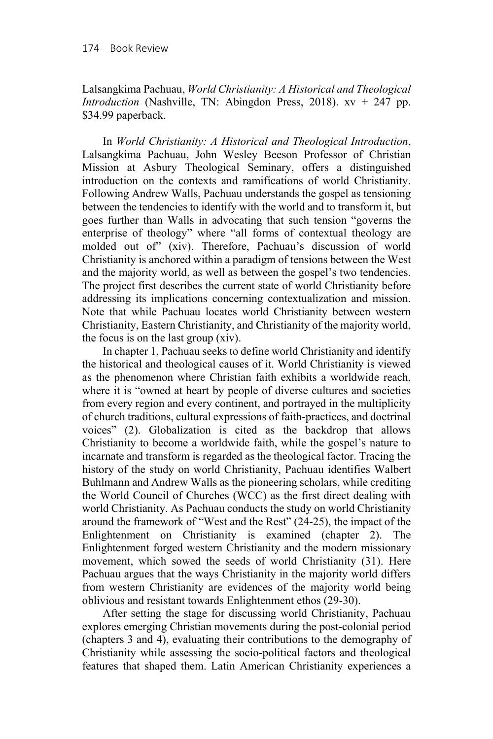Lalsangkima Pachuau, *World Christianity: A Historical and Theological Introduction* (Nashville, TN: Abingdon Press, 2018). xv + 247 pp. \$34.99 paperback.

In *World Christianity: A Historical and Theological Introduction*, Lalsangkima Pachuau, John Wesley Beeson Professor of Christian Mission at Asbury Theological Seminary, offers a distinguished introduction on the contexts and ramifications of world Christianity. Following Andrew Walls, Pachuau understands the gospel as tensioning between the tendencies to identify with the world and to transform it, but goes further than Walls in advocating that such tension "governs the enterprise of theology" where "all forms of contextual theology are molded out of" (xiv). Therefore, Pachuau's discussion of world Christianity is anchored within a paradigm of tensions between the West and the majority world, as well as between the gospel's two tendencies. The project first describes the current state of world Christianity before addressing its implications concerning contextualization and mission. Note that while Pachuau locates world Christianity between western Christianity, Eastern Christianity, and Christianity of the majority world, the focus is on the last group (xiv).

In chapter 1, Pachuau seeks to define world Christianity and identify the historical and theological causes of it. World Christianity is viewed as the phenomenon where Christian faith exhibits a worldwide reach, where it is "owned at heart by people of diverse cultures and societies from every region and every continent, and portrayed in the multiplicity of church traditions, cultural expressions of faith-practices, and doctrinal voices" (2). Globalization is cited as the backdrop that allows Christianity to become a worldwide faith, while the gospel's nature to incarnate and transform is regarded as the theological factor. Tracing the history of the study on world Christianity, Pachuau identifies Walbert Buhlmann and Andrew Walls as the pioneering scholars, while crediting the World Council of Churches (WCC) as the first direct dealing with world Christianity. As Pachuau conducts the study on world Christianity around the framework of "West and the Rest" (24-25), the impact of the Enlightenment on Christianity is examined (chapter 2). The Enlightenment forged western Christianity and the modern missionary movement, which sowed the seeds of world Christianity (31). Here Pachuau argues that the ways Christianity in the majority world differs from western Christianity are evidences of the majority world being oblivious and resistant towards Enlightenment ethos (29-30).

After setting the stage for discussing world Christianity, Pachuau explores emerging Christian movements during the post-colonial period (chapters 3 and 4), evaluating their contributions to the demography of Christianity while assessing the socio-political factors and theological features that shaped them. Latin American Christianity experiences a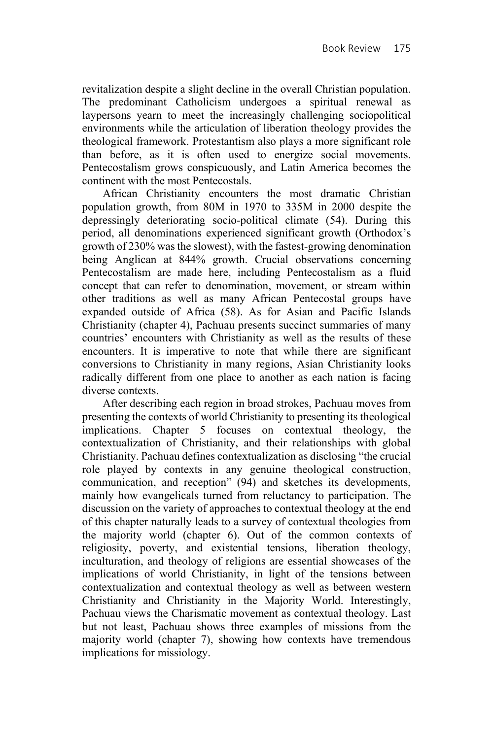revitalization despite a slight decline in the overall Christian population. The predominant Catholicism undergoes a spiritual renewal as laypersons yearn to meet the increasingly challenging sociopolitical environments while the articulation of liberation theology provides the theological framework. Protestantism also plays a more significant role than before, as it is often used to energize social movements. Pentecostalism grows conspicuously, and Latin America becomes the continent with the most Pentecostals.

African Christianity encounters the most dramatic Christian population growth, from 80M in 1970 to 335M in 2000 despite the depressingly deteriorating socio-political climate (54). During this period, all denominations experienced significant growth (Orthodox's growth of 230% was the slowest), with the fastest-growing denomination being Anglican at 844% growth. Crucial observations concerning Pentecostalism are made here, including Pentecostalism as a fluid concept that can refer to denomination, movement, or stream within other traditions as well as many African Pentecostal groups have expanded outside of Africa (58). As for Asian and Pacific Islands Christianity (chapter 4), Pachuau presents succinct summaries of many countries' encounters with Christianity as well as the results of these encounters. It is imperative to note that while there are significant conversions to Christianity in many regions, Asian Christianity looks radically different from one place to another as each nation is facing diverse contexts.

After describing each region in broad strokes, Pachuau moves from presenting the contexts of world Christianity to presenting its theological implications. Chapter 5 focuses on contextual theology, the contextualization of Christianity, and their relationships with global Christianity. Pachuau defines contextualization as disclosing "the crucial role played by contexts in any genuine theological construction, communication, and reception" (94) and sketches its developments, mainly how evangelicals turned from reluctancy to participation. The discussion on the variety of approaches to contextual theology at the end of this chapter naturally leads to a survey of contextual theologies from the majority world (chapter 6). Out of the common contexts of religiosity, poverty, and existential tensions, liberation theology, inculturation, and theology of religions are essential showcases of the implications of world Christianity, in light of the tensions between contextualization and contextual theology as well as between western Christianity and Christianity in the Majority World. Interestingly, Pachuau views the Charismatic movement as contextual theology. Last but not least, Pachuau shows three examples of missions from the majority world (chapter 7), showing how contexts have tremendous implications for missiology.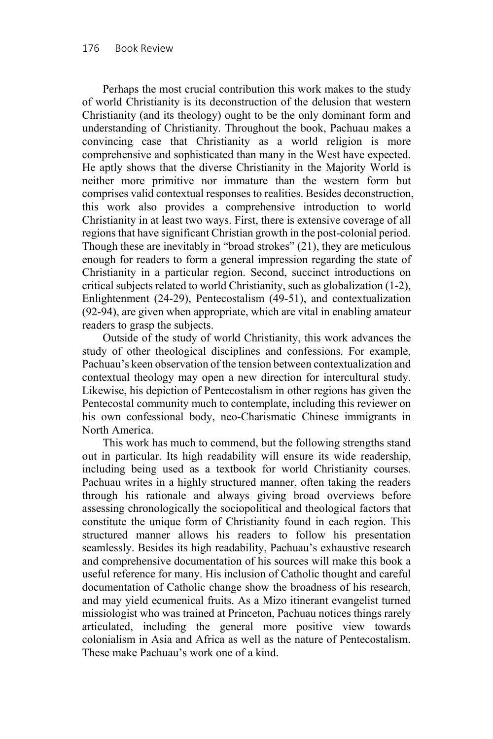Perhaps the most crucial contribution this work makes to the study of world Christianity is its deconstruction of the delusion that western Christianity (and its theology) ought to be the only dominant form and understanding of Christianity. Throughout the book, Pachuau makes a convincing case that Christianity as a world religion is more comprehensive and sophisticated than many in the West have expected. He aptly shows that the diverse Christianity in the Majority World is neither more primitive nor immature than the western form but comprises valid contextual responses to realities. Besides deconstruction, this work also provides a comprehensive introduction to world Christianity in at least two ways. First, there is extensive coverage of all regions that have significant Christian growth in the post-colonial period. Though these are inevitably in "broad strokes" (21), they are meticulous enough for readers to form a general impression regarding the state of Christianity in a particular region. Second, succinct introductions on critical subjects related to world Christianity, such as globalization (1-2), Enlightenment (24-29), Pentecostalism (49-51), and contextualization (92-94), are given when appropriate, which are vital in enabling amateur readers to grasp the subjects.

Outside of the study of world Christianity, this work advances the study of other theological disciplines and confessions. For example, Pachuau's keen observation of the tension between contextualization and contextual theology may open a new direction for intercultural study. Likewise, his depiction of Pentecostalism in other regions has given the Pentecostal community much to contemplate, including this reviewer on his own confessional body, neo-Charismatic Chinese immigrants in North America.

This work has much to commend, but the following strengths stand out in particular. Its high readability will ensure its wide readership, including being used as a textbook for world Christianity courses. Pachuau writes in a highly structured manner, often taking the readers through his rationale and always giving broad overviews before assessing chronologically the sociopolitical and theological factors that constitute the unique form of Christianity found in each region. This structured manner allows his readers to follow his presentation seamlessly. Besides its high readability, Pachuau's exhaustive research and comprehensive documentation of his sources will make this book a useful reference for many. His inclusion of Catholic thought and careful documentation of Catholic change show the broadness of his research, and may yield ecumenical fruits. As a Mizo itinerant evangelist turned missiologist who was trained at Princeton, Pachuau notices things rarely articulated, including the general more positive view towards colonialism in Asia and Africa as well as the nature of Pentecostalism. These make Pachuau's work one of a kind.